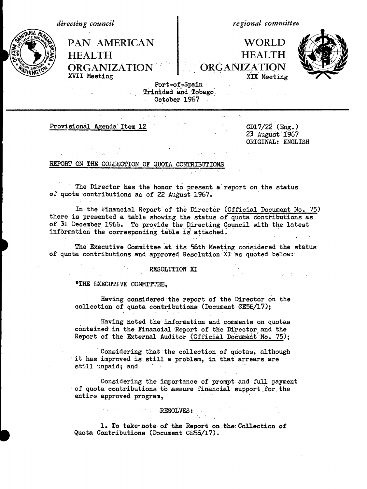| directing council |                                                                                     | regional committee                                                                           |  |  |
|-------------------|-------------------------------------------------------------------------------------|----------------------------------------------------------------------------------------------|--|--|
|                   | <b>PAN AMERICAN</b><br><b>HEALTH</b><br>ORGANIZATION   ORGANIZATION<br>XVII Meeting | <b>WORLD</b><br><b>HEALTH</b><br>XIX Meeting<br>Port-of-Spain<br>$Tri$ ni dad and $Toha$ $r$ |  |  |
|                   |                                                                                     |                                                                                              |  |  |

Trinidad and.Tobago... October 1967

Provisional Agenda Item 12 CD17/22 (Eng.)

23 August 'i967 ORIGINAL: ENGLISH

### REPORT ON THE COLLECTION OF QUOTA CONTRIBUTIONS

The Director has the honor to present a report on the status of quota contributions as of 22 August 1967.

In the Financial Report of the Director (Official Document No. 75) there is presented a table showing the status of quota contributions as of 31 December 1966. To provide the Directing Council with the latest information the corresponding table is attached.

The Executive Committee at its 56th Meeting considered the status of quota contributions and approved Resolution XI as quoted below:'

### RESOLUTION XI

"THE EXECUTIVE COMMITTEE,

Having considered the report of the Director on the collection of quota contributions (Document CE56/17);

Having noted the information and comments on quotas contained in the Financial Report of the Director and the Report of the External Auditor (Official Document No. 75);

Considering that the collection of quotas, although it has improved is still a problem, in that arrears are still unpaid; and **Contract** 

Considering the importance of prompt and full payment of quota contributions to assure financial support \_for. the entire approved program,

# .RESOLVES:

1. To take-note of the Report on.the:Collection of **h** Quota Contributions (Document CE56/17).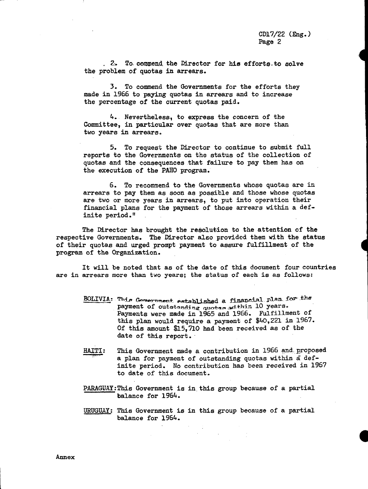**I**

2. To commend the Director for *his* efforts.to solve the problem of quotas in arrears.

3. To commend the Governments for the efforts they made in 1966 to paying quotas in arrears and to increase the percentage of the current quotas paid.

4. Nevertheless, to express the concern of the Committee, in particular over quotas that are more than two years in arrears.

5. To request the Director to continue to submit full reports to the Governments on the status of the collection of quotas and the consequences that failure to pay them has on the execution of the PAHO program.

6. To recommend to the Governments whose quotas are in arrears to pay them as soon as possible and those whose quotas are two or more years in arrears, to put into operation their financial plans for the payment of those arrears within a definite period."

The Director has brought the resolution to the attention of the respective Governments. The Director also provided them with the status of their quotas and urged prompt payment to assure fulfillment of the program of the Organization.

It will be noted that as of the date of this document four countries are in arrears more than two years; the status of each is as follows:

- BOLIVIA: This Government established a financial plan for the payment of outstanding quotas adthin 10 years. Payments were made in 1965 and 1966. Fulfillment of this plan would require a payment of \$40,221 in 1967. Of this amount \$15,710 had been received as of the date of this report.
- HAITI: This Government made a contribution in 1966 and. proposed a plan for payment of outstanding quotas within a definite period. No contribution has been received in 1967 to date of this document.
- PARAGUAY:This Government is in this group because of a partial balance for 1964.
- URUGUAY: This Government is in this group because of a partial balance for 1964.

 $\sim 10^{11}$  km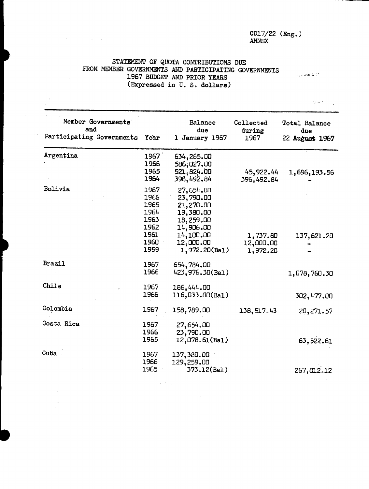## CD17/22 (Eng.) ANNEX

## STATEMENT OF QUOTA CONTRIBUTIONS DUE FROM MEMBER GOVERNMENTS AND PARTICIPATING GOVERNMENTS 1967 BUDGET AND PRIOR YEARS (Expressed in U. S. dollars)

Member Governments<br>and due during due during due and due during due Participating Governments Year 1 January 1967 1967 22 **Auguat** 1967 Argentina 1967 1966 1965 1964 Bolivia 1967 1965 1965 1964 1963 1962 1961 1960 1959 634,265.00 **586;027.00 521,824.00** 396,492.84 27,654.00 23, 790.00 21.,270.00 19,380.00 18,259.00 14,906.00 14,100.00 12,000.00 1,972.20(Bal) 45,922.44 396,492.84 1,737.80 12,000.00 1,972.20 1,696,193.56 137,621.20 Brazil 1967 654,784.00 1966 423,976.30(Bal) 1,078,760.30 1967 186,444.00 116,033.00(Bal) 302,477.00 Colombia Costa Rica 1967 1967 1966 1965 Cuba 1967 1966 1965 158,789.00 138,517.43 27,654.00 23,790.00 12,078.61(Bal) 20,271.57 63,522.61 137,380.00 129,259.00 373.12(Bal) 267,012.12 Chile

Jugacase & CT

mg o a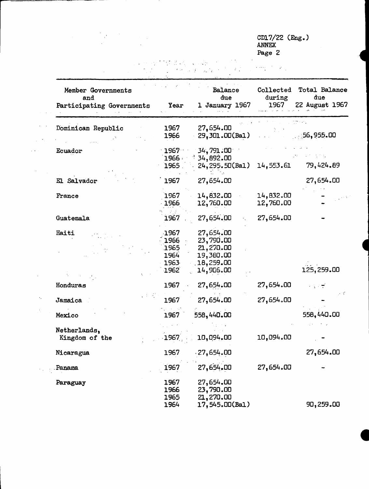CD17/22 (Eng.) ANNEX Page 2 **<sup>4</sup>**

**I**

**I**

 $\alpha = 1$  .  $\mathbb{R}^2$ 

 $\label{eq:2.1} \frac{1}{\sqrt{2\pi}}\int_{\mathbb{R}^3}\frac{1}{\sqrt{2\pi}}\left(\frac{1}{\sqrt{2\pi}}\right)^2\frac{1}{\sqrt{2\pi}}\int_{\mathbb{R}^3}\frac{1}{\sqrt{2\pi}}\left(\frac{1}{\sqrt{2\pi}}\right)^2\frac{1}{\sqrt{2\pi}}\frac{1}{\sqrt{2\pi}}\frac{1}{\sqrt{2\pi}}\frac{1}{\sqrt{2\pi}}\frac{1}{\sqrt{2\pi}}\frac{1}{\sqrt{2\pi}}\frac{1}{\sqrt{2\pi}}\frac{1}{\sqrt{2\pi}}\frac{1}{\sqrt{2$ 

 $\ddot{\phantom{a}}$ 

 $\mathcal{L}_{\mathcal{L}}$  $\mathcal{L}(\mathbf{r})$ 

 $\mathcal{A}_\mathrm{c}$ 

 $\mathcal{L}_{\mathcal{A}}$ 

| Member Governments<br>and<br>Participating Governments | <b>Year</b>                                  | Balance<br>due<br>January 1967<br>ı                                         | Collected<br>during<br>1967 | <b>Total Balance</b><br>due<br>22 August 1967 |
|--------------------------------------------------------|----------------------------------------------|-----------------------------------------------------------------------------|-----------------------------|-----------------------------------------------|
| Dominican Republic                                     | 1967<br>1966                                 | 27,654.00<br>29, 301.00(Bal)                                                |                             | :56,955.00                                    |
| Ecuador                                                | 1967<br>1966<br>1965                         | 34,791.00<br>34,892.00<br>24, 295.50(Bal)                                   | 14,553.61                   | 79,424.89                                     |
| El Salvador                                            | 1967                                         | 27,654.00                                                                   |                             | 27,654.00                                     |
| France                                                 | 1967<br>1966                                 | 14,832.00<br>12,760.00                                                      | 14,832.00<br>12,760.00      |                                               |
| Guatemala                                              | 1967                                         | 27,654.00                                                                   | 27,654.00                   |                                               |
| Haiti                                                  | 1967<br>1966<br>1965<br>1964<br>1963<br>1962 | 27,654.00<br>23,790.00<br>21, 270.00<br>19,380.00<br>18,259.00<br>14,906.00 |                             | 125,259.00                                    |
| Honduras                                               | 1967                                         | 27,654.00                                                                   | 27,654.00                   |                                               |
| Jamaica                                                | 1967                                         | 27,654.00                                                                   | 27,654.00                   | 9 E                                           |
| Mexico                                                 | 1967                                         | 558,440.00                                                                  |                             | 558,440.00                                    |
| Netherlands,<br>Kingdom of the                         | 1967                                         | 10,094.00                                                                   | 10,094.00                   |                                               |
| Nicaragua                                              | 1967                                         | $-27,654.00$                                                                |                             | 27,654.00                                     |
| Panama                                                 | 1967                                         | 27,654.00                                                                   | 27,654.00                   |                                               |
| Paraguay                                               | 1967<br>1966<br>1965<br>1964                 | 27,654.00<br>23,790.00<br>21,270.00<br>17,545.00(Bal)                       |                             | 90,259.00                                     |